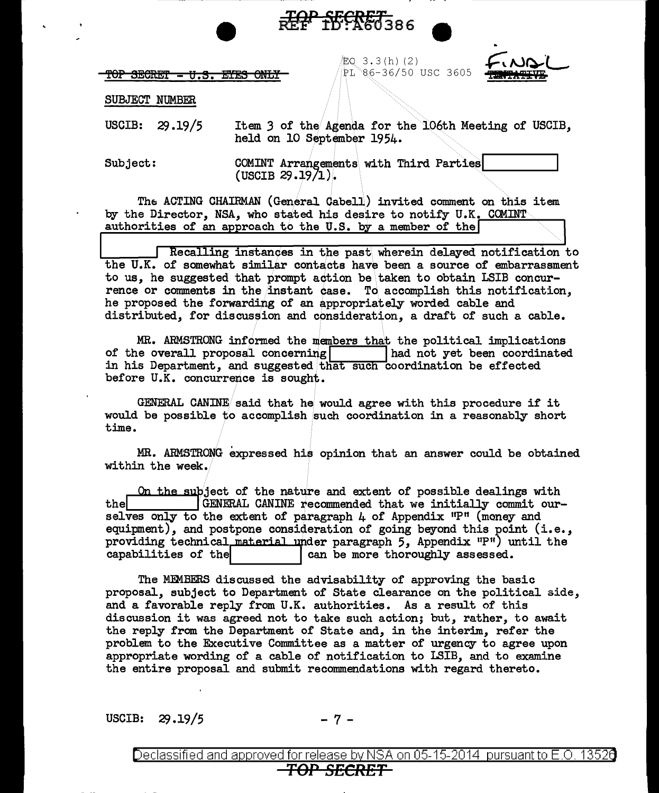<del>rop secret</del>

'EQ 3 . 3 ( h) ( 2 ) PL 86-36/50 USC 3605



SUBJECT NUMBER

USCIB: 29.19/5 Item *3* of the Agenda for the 106th Meeting of USCIB, held on 10 September 1954.

**TOP SECRET** 

Subject: COMINT Arrangements with Third Parties| COMINT Arrangements with Third Parties

The ACTING CHAIRMAN (General Cabell) invited comment on this item by the Director, NSA, who stated his desire to notify U.K. COMINT authorities of an approach to the U.S. by a member of the

Recalling instances in the past wherein delayed notification to the U.K. of somewhat similar contacts have been a source of embarrassment to us, he suggested that prompt action be\taken to obtain LSIB concurrence or comments in the instant case. To accomplish this notification, he proposed the forwarding of an appropriately worded cable and distributed, for discussion and consideration, a draft of such a cable.

MR. ARMSTRONG informed the members that the political implications is overall proposal concerning  $\begin{array}{|c|c|c|c|c|}\n\hline\n\end{array}$  had not yet been coordinated of the overall proposal concerning in his Department, and suggested that such coordination be effected before U.K. concurrence is sought.

GENERAL CANINE said that he would agree with this procedure if it would be possible to accomplish such coordination in a reasonably short time.

MR. ARMSTRONG expressed his opinion that an answer could be obtained within the week.

On the subject of the nature and extent of possible dealings with the **EGENERAL CANINE** recommended that we initially commit ourselves only to the extent of paragraph  $4$  of Appendix  $P^{\text{H}}$  (money and equipment), and postpone consideration of going beyond this point (i.e., providing technical material under paragraph  $5$ , Appendix  $P^*$ ) until the capabilities of the  $\vert$  can be more thoroughly assessed. can be more thoroughly assessed.

The MEMBERS discussed the advisability of approving the basic proposal, subject to Department of State clearance on the political side, and a favorable reply from U.K. authorities. As a result of this discussion it was agreed not to take such action; but, rather, to await the reply from the Department of State and, in the interim, refer the problem to the Executive Committee as a matter of urgency to agree upon appropriate wording of a cable of notification to I.SIB, and to examine the entire proposal and submit recommendations with regard thereto.

USCIB:  $29.19/5$  - 7 -

Declassified and approved for release by NSA on 05-15-2014  $\,$  pursuant to E.O. 1352 $\mathrm{G}$ *TOP SECRET*